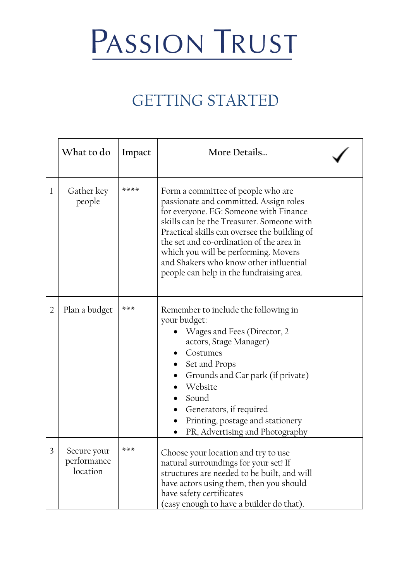## PASSION TRUST

## GETTING STARTED

|                | What to do                             | Impact | More Details                                                                                                                                                                                                                                                                                                                                                                                  |  |
|----------------|----------------------------------------|--------|-----------------------------------------------------------------------------------------------------------------------------------------------------------------------------------------------------------------------------------------------------------------------------------------------------------------------------------------------------------------------------------------------|--|
| $\mathbf 1$    | Gather key<br>people                   | ****   | Form a committee of people who are<br>passionate and committed. Assign roles<br>for everyone. EG: Someone with Finance<br>skills can be the Treasurer. Someone with<br>Practical skills can oversee the building of<br>the set and co-ordination of the area in<br>which you will be performing. Movers<br>and Shakers who know other influential<br>people can help in the fundraising area. |  |
| $\overline{2}$ | Plan a budget                          | $***$  | Remember to include the following in<br>your budget:<br>Wages and Fees (Director, 2<br>actors, Stage Manager)<br>Costumes<br>Set and Props<br>Grounds and Car park (if private)<br>Website<br>Sound<br>Generators, if required<br>Printing, postage and stationery<br>PR, Advertising and Photography                                                                                         |  |
| 3              | Secure your<br>performance<br>location |        | Choose your location and try to use<br>natural surroundings for your set! If<br>structures are needed to be built, and will<br>have actors using them, then you should<br>have safety certificates<br>(easy enough to have a builder do that).                                                                                                                                                |  |